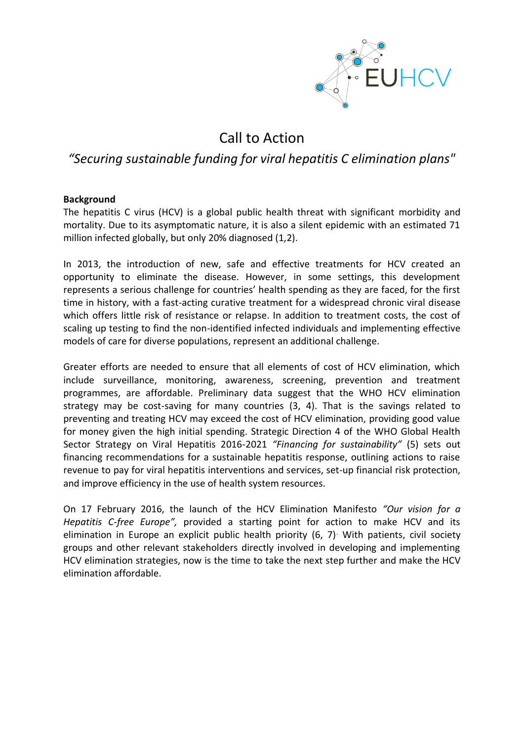

## Call to Action

## *"Securing sustainable funding for viral hepatitis C elimination plans"*

## **Background**

The hepatitis C virus (HCV) is a global public health threat with significant morbidity and mortality. Due to its asymptomatic nature, it is also a silent epidemic with an estimated 71 million infected globally, but only 20% diagnosed (1,2).

In 2013, the introduction of new, safe and effective treatments for HCV created an opportunity to eliminate the disease. However, in some settings, this development represents a serious challenge for countries' health spending as they are faced, for the first time in history, with a fast-acting curative treatment for a widespread chronic viral disease which offers little risk of resistance or relapse. In addition to treatment costs, the cost of scaling up testing to find the non-identified infected individuals and implementing effective models of care for diverse populations, represent an additional challenge.

Greater efforts are needed to ensure that all elements of cost of HCV elimination, which include surveillance, monitoring, awareness, screening, prevention and treatment programmes, are affordable. Preliminary data suggest that the WHO HCV elimination strategy may be cost-saving for many countries (3, 4). That is the savings related to preventing and treating HCV may exceed the cost of HCV elimination, providing good value for money given the high initial spending. Strategic Direction 4 of the WHO Global Health Sector Strategy on Viral Hepatitis 2016-2021 *"Financing for sustainability"* (5) sets out financing recommendations for a sustainable hepatitis response, outlining actions to raise revenue to pay for viral hepatitis interventions and services, set-up financial risk protection, and improve efficiency in the use of health system resources.

On 17 February 2016, the launch of the HCV Elimination Manifesto *"Our vision for a Hepatitis C-free Europe",* provided a starting point for action to make HCV and its elimination in Europe an explicit public health priority  $(6, 7)$ . With patients, civil society groups and other relevant stakeholders directly involved in developing and implementing HCV elimination strategies, now is the time to take the next step further and make the HCV elimination affordable.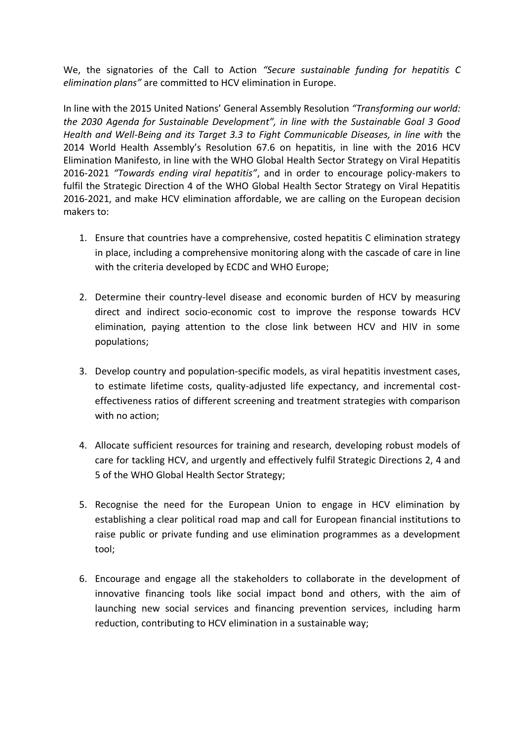We, the signatories of the Call to Action *"Secure sustainable funding for hepatitis C elimination plans"* are committed to HCV elimination in Europe.

In line with the 2015 United Nations' General Assembly Resolution *"Transforming our world: the 2030 Agenda for Sustainable Development", in line with the Sustainable Goal 3 Good Health and Well-Being and its Target 3.3 to Fight Communicable Diseases, in line with* the 2014 World Health Assembly's Resolution 67.6 on hepatitis, in line with the 2016 HCV Elimination Manifesto, in line with the WHO Global Health Sector Strategy on Viral Hepatitis 2016-2021 *"Towards ending viral hepatitis"*, and in order to encourage policy-makers to fulfil the Strategic Direction 4 of the WHO Global Health Sector Strategy on Viral Hepatitis 2016-2021, and make HCV elimination affordable, we are calling on the European decision makers to:

- 1. Ensure that countries have a comprehensive, costed hepatitis C elimination strategy in place, including a comprehensive monitoring along with the cascade of care in line with the criteria developed by ECDC and WHO Europe;
- 2. Determine their country-level disease and economic burden of HCV by measuring direct and indirect socio-economic cost to improve the response towards HCV elimination, paying attention to the close link between HCV and HIV in some populations;
- 3. Develop country and population-specific models, as viral hepatitis investment cases, to estimate lifetime costs, quality-adjusted life expectancy, and incremental costeffectiveness ratios of different screening and treatment strategies with comparison with no action;
- 4. Allocate sufficient resources for training and research, developing robust models of care for tackling HCV, and urgently and effectively fulfil Strategic Directions 2, 4 and 5 of the WHO Global Health Sector Strategy;
- 5. Recognise the need for the European Union to engage in HCV elimination by establishing a clear political road map and call for European financial institutions to raise public or private funding and use elimination programmes as a development tool;
- 6. Encourage and engage all the stakeholders to collaborate in the development of innovative financing tools like social impact bond and others, with the aim of launching new social services and financing prevention services, including harm reduction, contributing to HCV elimination in a sustainable way;